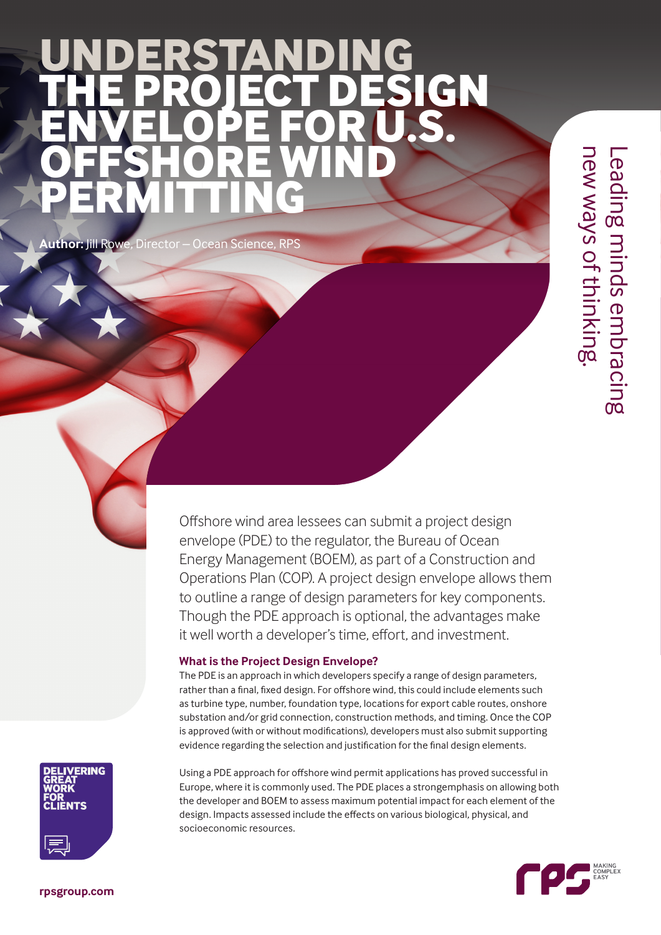# **UNDERSTANDING THE PROJECT DESIGN ENVELOPE FOR U.S. OFFSHORE WIND PERMITTING**

**Author:** Jill Rowe, Director – Ocean Science, RPS

Leading minds embracing<br>new ways of thinking. new ways of thinking. Leading minds embracing

Offshore wind area lessees can submit a project design envelope (PDE) to the regulator, the Bureau of Ocean Energy Management (BOEM), as part of a Construction and Operations Plan (COP). A project design envelope allows them to outline a range of design parameters for key components. Though the PDE approach is optional, the advantages make it well worth a developer's time, effort, and investment.

## **What is the Project Design Envelope?**

The PDE is an approach in which developers specify a range of design parameters, rather than a final, fixed design. For offshore wind, this could include elements such as turbine type, number, foundation type, locations for export cable routes, onshore substation and/or grid connection, construction methods, and timing. Once the COP is approved (with or without modifications), developers must also submit supporting evidence regarding the selection and justification for the final design elements.



Using a PDE approach for offshore wind permit applications has proved successful in Europe, where it is commonly used. The PDE places a strongemphasis on allowing both the developer and BOEM to assess maximum potential impact for each element of the design. Impacts assessed include the effects on various biological, physical, and socioeconomic resources.

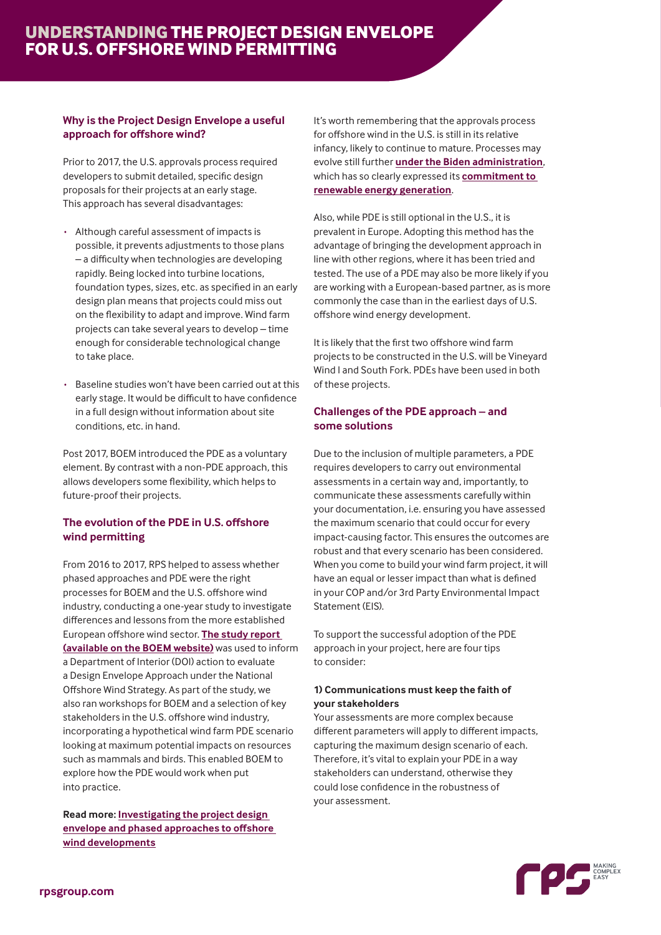## **Why is the Project Design Envelope a useful approach for offshore wind?**

Prior to 2017, the U.S. approvals process required developers to submit detailed, specific design proposals for their projects at an early stage. This approach has several disadvantages:

- · Although careful assessment of impacts is possible, it prevents adjustments to those plans – a difficulty when technologies are developing rapidly. Being locked into turbine locations, foundation types, sizes, etc. as specified in an early design plan means that projects could miss out on the flexibility to adapt and improve. Wind farm projects can take several years to develop – time enough for considerable technological change to take place.
- Baseline studies won't have been carried out at this early stage. It would be difficult to have confidence in a full design without information about site conditions, etc. in hand.

Post 2017, BOEM introduced the PDE as a voluntary element. By contrast with a non-PDE approach, this allows developers some flexibility, which helps to future-proof their projects.

### **The evolution of the PDE in U.S. offshore wind permitting**

From 2016 to 2017, RPS helped to assess whether phased approaches and PDE were the right processes for BOEM and the U.S. offshore wind industry, conducting a one-year study to investigate differences and lessons from the more established European offshore wind sector. **[The study report](https://www.boem.gov/sites/default/files/environmental-stewardship/Environmental-Studies/Renewable-Energy/Phased-Approaches-to-Offshore-Wind-Developments-and-Use-of-Project-Design-Envelope.pdf)  [\(available on the BOEM website\)](https://www.boem.gov/sites/default/files/environmental-stewardship/Environmental-Studies/Renewable-Energy/Phased-Approaches-to-Offshore-Wind-Developments-and-Use-of-Project-Design-Envelope.pdf)** was used to inform a Department of Interior (DOI) action to evaluate a Design Envelope Approach under the National Offshore Wind Strategy. As part of the study, we also ran workshops for BOEM and a selection of key stakeholders in the U.S. offshore wind industry, incorporating a hypothetical wind farm PDE scenario looking at maximum potential impacts on resources such as mammals and birds. This enabled BOEM to explore how the PDE would work when put into practice.

**Read more: [Investigating the project design](https://www.rpsgroup.com/company/news/phased-approaches-to-offshore-wind-developments-and-use-of-the-project-design-envelope/)  [envelope and phased approaches to offshore](https://www.rpsgroup.com/company/news/phased-approaches-to-offshore-wind-developments-and-use-of-the-project-design-envelope/)  [wind developments](https://www.rpsgroup.com/company/news/phased-approaches-to-offshore-wind-developments-and-use-of-the-project-design-envelope/)**

It's worth remembering that the approvals process for offshore wind in the U.S. is still in its relative infancy, likely to continue to mature. Processes may evolve still further **[under the Biden administration](https://www.rpsgroup.com/insights/energy/a-breath-of-fresh-air-revitalizes-the-us-offshore-wind-sector/)**, which has so clearly expressed its **[commitment to](https://www.whitehouse.gov/briefing-room/statements-releases/2021/03/29/fact-sheet-biden-administration-jumpstarts-offshore-wind-energy-projects-to-create-jobs/)  [renewable energy generation](https://www.whitehouse.gov/briefing-room/statements-releases/2021/03/29/fact-sheet-biden-administration-jumpstarts-offshore-wind-energy-projects-to-create-jobs/)**.

Also, while PDE is still optional in the U.S., it is prevalent in Europe. Adopting this method has the advantage of bringing the development approach in line with other regions, where it has been tried and tested. The use of a PDE may also be more likely if you are working with a European-based partner, as is more commonly the case than in the earliest days of U.S. offshore wind energy development.

It is likely that the first two offshore wind farm projects to be constructed in the U.S. will be Vineyard Wind I and South Fork. PDEs have been used in both of these projects.

## **Challenges of the PDE approach – and some solutions**

Due to the inclusion of multiple parameters, a PDE requires developers to carry out environmental assessments in a certain way and, importantly, to communicate these assessments carefully within your documentation, i.e. ensuring you have assessed the maximum scenario that could occur for every impact-causing factor. This ensures the outcomes are robust and that every scenario has been considered. When you come to build your wind farm project, it will have an equal or lesser impact than what is defined in your COP and/or 3rd Party Environmental Impact Statement (EIS).

To support the successful adoption of the PDE approach in your project, here are four tips to consider:

#### **1) Communications must keep the faith of your stakeholders**

Your assessments are more complex because different parameters will apply to different impacts, capturing the maximum design scenario of each. Therefore, it's vital to explain your PDE in a way stakeholders can understand, otherwise they could lose confidence in the robustness of your assessment.